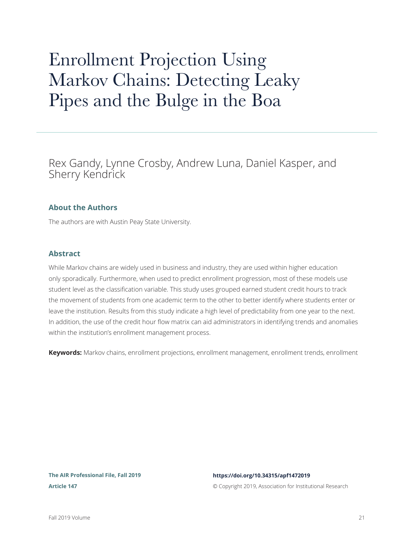# Enrollment Projection Using Markov Chains: Detecting Leaky Pipes and the Bulge in the Boa

Rex Gandy, Lynne Crosby, Andrew Luna, Daniel Kasper, and Sherry Kendrick

### **About the Authors**

The authors are with Austin Peay State University.

### **Abstract**

While Markov chains are widely used in business and industry, they are used within higher education only sporadically. Furthermore, when used to predict enrollment progression, most of these models use student level as the classification variable. This study uses grouped earned student credit hours to track the movement of students from one academic term to the other to better identify where students enter or leave the institution. Results from this study indicate a high level of predictability from one year to the next. In addition, the use of the credit hour flow matrix can aid administrators in identifying trends and anomalies within the institution's enrollment management process.

**Keywords:** Markov chains, enrollment projections, enrollment management, enrollment trends, enrollment

### **The AIR Professional File, Fall 2019 Article 147**

### **<https://doi.org/10.34315/apf1472019>**

© Copyright 2019, Association for Institutional Research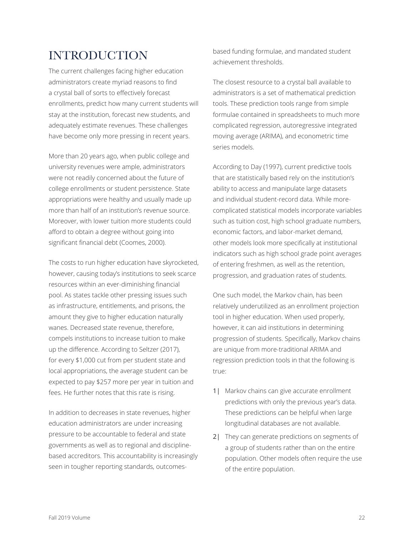# INTRODUCTION

The current challenges facing higher education administrators create myriad reasons to find a crystal ball of sorts to effectively forecast enrollments, predict how many current students will stay at the institution, forecast new students, and adequately estimate revenues. These challenges have become only more pressing in recent years.

More than 20 years ago, when public college and university revenues were ample, administrators were not readily concerned about the future of college enrollments or student persistence. State appropriations were healthy and usually made up more than half of an institution's revenue source. Moreover, with lower tuition more students could afford to obtain a degree without going into significant financial debt (Coomes, 2000).

The costs to run higher education have skyrocketed, however, causing today's institutions to seek scarce resources within an ever-diminishing financial pool. As states tackle other pressing issues such as infrastructure, entitlements, and prisons, the amount they give to higher education naturally wanes. Decreased state revenue, therefore, compels institutions to increase tuition to make up the difference. According to Seltzer (2017), for every \$1,000 cut from per student state and local appropriations, the average student can be expected to pay \$257 more per year in tuition and fees. He further notes that this rate is rising.

In addition to decreases in state revenues, higher education administrators are under increasing pressure to be accountable to federal and state governments as well as to regional and disciplinebased accreditors. This accountability is increasingly seen in tougher reporting standards, outcomesbased funding formulae, and mandated student achievement thresholds.

The closest resource to a crystal ball available to administrators is a set of mathematical prediction tools. These prediction tools range from simple formulae contained in spreadsheets to much more complicated regression, autoregressive integrated moving average (ARIMA), and econometric time series models.

According to Day (1997), current predictive tools that are statistically based rely on the institution's ability to access and manipulate large datasets and individual student-record data. While morecomplicated statistical models incorporate variables such as tuition cost, high school graduate numbers, economic factors, and labor-market demand, other models look more specifically at institutional indicators such as high school grade point averages of entering freshmen, as well as the retention, progression, and graduation rates of students.

One such model, the Markov chain, has been relatively underutilized as an enrollment projection tool in higher education. When used properly, however, it can aid institutions in determining progression of students. Specifically, Markov chains are unique from more-traditional ARIMA and regression prediction tools in that the following is true:

- 1| Markov chains can give accurate enrollment predictions with only the previous year's data. These predictions can be helpful when large longitudinal databases are not available.
- 2| They can generate predictions on segments of a group of students rather than on the entire population. Other models often require the use of the entire population.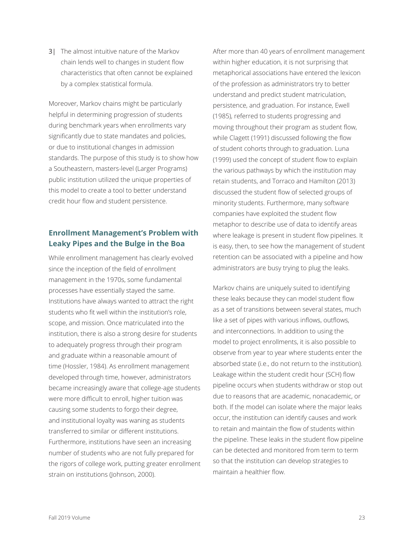3| The almost intuitive nature of the Markov chain lends well to changes in student flow characteristics that often cannot be explained by a complex statistical formula.

Moreover, Markov chains might be particularly helpful in determining progression of students during benchmark years when enrollments vary significantly due to state mandates and policies, or due to institutional changes in admission standards. The purpose of this study is to show how a Southeastern, masters-level (Larger Programs) public institution utilized the unique properties of this model to create a tool to better understand credit hour flow and student persistence.

### **Enrollment Management's Problem with Leaky Pipes and the Bulge in the Boa**

While enrollment management has clearly evolved since the inception of the field of enrollment management in the 1970s, some fundamental processes have essentially stayed the same. Institutions have always wanted to attract the right students who fit well within the institution's role, scope, and mission. Once matriculated into the institution, there is also a strong desire for students to adequately progress through their program and graduate within a reasonable amount of time (Hossler, 1984). As enrollment management developed through time, however, administrators became increasingly aware that college-age students were more difficult to enroll, higher tuition was causing some students to forgo their degree, and institutional loyalty was waning as students transferred to similar or different institutions. Furthermore, institutions have seen an increasing number of students who are not fully prepared for the rigors of college work, putting greater enrollment strain on institutions (Johnson, 2000).

After more than 40 years of enrollment management within higher education, it is not surprising that metaphorical associations have entered the lexicon of the profession as administrators try to better understand and predict student matriculation, persistence, and graduation. For instance, Ewell (1985), referred to students progressing and moving throughout their program as student flow, while Clagett (1991) discussed following the flow of student cohorts through to graduation. Luna (1999) used the concept of student flow to explain the various pathways by which the institution may retain students, and Torraco and Hamilton (2013) discussed the student flow of selected groups of minority students. Furthermore, many software companies have exploited the student flow metaphor to describe use of data to identify areas where leakage is present in student flow pipelines. It is easy, then, to see how the management of student retention can be associated with a pipeline and how administrators are busy trying to plug the leaks.

Markov chains are uniquely suited to identifying these leaks because they can model student flow as a set of transitions between several states, much like a set of pipes with various inflows, outflows, and interconnections. In addition to using the model to project enrollments, it is also possible to observe from year to year where students enter the absorbed state (i.e., do not return to the institution). Leakage within the student credit hour (SCH) flow pipeline occurs when students withdraw or stop out due to reasons that are academic, nonacademic, or both. If the model can isolate where the major leaks occur, the institution can identify causes and work to retain and maintain the flow of students within the pipeline. These leaks in the student flow pipeline can be detected and monitored from term to term so that the institution can develop strategies to maintain a healthier flow.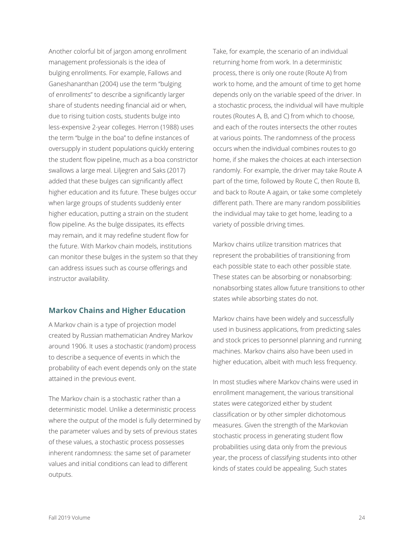Another colorful bit of jargon among enrollment management professionals is the idea of bulging enrollments. For example, Fallows and Ganeshananthan (2004) use the term "bulging of enrollments" to describe a significantly larger share of students needing financial aid or when, due to rising tuition costs, students bulge into less-expensive 2-year colleges. Herron (1988) uses the term "bulge in the boa" to define instances of oversupply in student populations quickly entering the student flow pipeline, much as a boa constrictor swallows a large meal. Liljegren and Saks (2017) added that these bulges can significantly affect higher education and its future. These bulges occur when large groups of students suddenly enter higher education, putting a strain on the student flow pipeline. As the bulge dissipates, its effects may remain, and it may redefine student flow for the future. With Markov chain models, institutions can monitor these bulges in the system so that they can address issues such as course offerings and instructor availability.

### **Markov Chains and Higher Education**

A Markov chain is a type of projection model created by Russian mathematician Andrey Markov around 1906. It uses a stochastic (random) process to describe a sequence of events in which the probability of each event depends only on the state attained in the previous event.

The Markov chain is a stochastic rather than a deterministic model. Unlike a deterministic process where the output of the model is fully determined by the parameter values and by sets of previous states of these values, a stochastic process possesses inherent randomness: the same set of parameter values and initial conditions can lead to different outputs.

Take, for example, the scenario of an individual returning home from work. In a deterministic process, there is only one route (Route A) from work to home, and the amount of time to get home depends only on the variable speed of the driver. In a stochastic process, the individual will have multiple routes (Routes A, B, and C) from which to choose, and each of the routes intersects the other routes at various points. The randomness of the process occurs when the individual combines routes to go home, if she makes the choices at each intersection randomly. For example, the driver may take Route A part of the time, followed by Route C, then Route B, and back to Route A again, or take some completely different path. There are many random possibilities the individual may take to get home, leading to a variety of possible driving times.

Markov chains utilize transition matrices that represent the probabilities of transitioning from each possible state to each other possible state. These states can be absorbing or nonabsorbing: nonabsorbing states allow future transitions to other states while absorbing states do not.

Markov chains have been widely and successfully used in business applications, from predicting sales and stock prices to personnel planning and running machines. Markov chains also have been used in higher education, albeit with much less frequency.

In most studies where Markov chains were used in enrollment management, the various transitional states were categorized either by student classification or by other simpler dichotomous measures. Given the strength of the Markovian stochastic process in generating student flow probabilities using data only from the previous year, the process of classifying students into other kinds of states could be appealing. Such states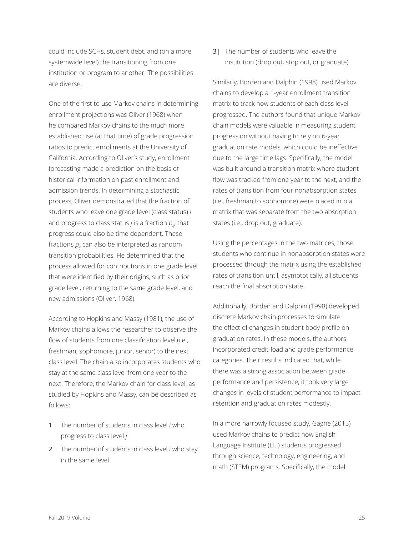could include SCHs, student debt, and (on a more systemwide level) the transitioning from one institution or program to another. The possibilities are diverse.

One of the first to use Markov chains in determining enrollment projections was Oliver (1968) when he compared Markov chains to the much more established use (at that time) of grade progression ratios to predict enrollments at the University of California. According to Oliver's study, enrollment forecasting made a prediction on the basis of historical information on past enrollment and admission trends. In determining a stochastic process, Oliver demonstrated that the fraction of students who leave one grade level (class status) *i* and progress to class status *j* is a fraction  $p_{ii}$ ; that progress could also be time dependent. These fractions  $p_{ij}$  can also be interpreted as random transition probabilities. He determined that the process allowed for contributions in one grade level that were identified by their origins, such as prior grade level, returning to the same grade level, and new admissions (Oliver, 1968).

According to Hopkins and Massy (1981), the use of Markov chains allows the researcher to observe the flow of students from one classification level (i.e., freshman, sophomore, junior, senior) to the next class level. The chain also incorporates students who stay at the same class level from one year to the next. Therefore, the Markov chain for class level, as studied by Hopkins and Massy, can be described as follows:

- 1| The number of students in class level *i* who progress to class level *j*
- 2| The number of students in class level *i* who stay in the same level

3| The number of students who leave the institution (drop out, stop out, or graduate)

Similarly, Borden and Dalphin (1998) used Markov chains to develop a 1-year enrollment transition matrix to track how students of each class level progressed. The authors found that unique Markov chain models were valuable in measuring student progression without having to rely on 6-year graduation rate models, which could be ineffective due to the large time lags. Specifically, the model was built around a transition matrix where student flow was tracked from one year to the next, and the rates of transition from four nonabsorption states (i.e., freshman to sophomore) were placed into a matrix that was separate from the two absorption states (i.e., drop out, graduate).

Using the percentages in the two matrices, those students who continue in nonabsorption states were processed through the matrix using the established rates of transition until, asymptotically, all students reach the final absorption state.

Additionally, Borden and Dalphin (1998) developed discrete Markov chain processes to simulate the effect of changes in student body profile on graduation rates. In these models, the authors incorporated credit-load and grade performance categories. Their results indicated that, while there was a strong association between grade performance and persistence, it took very large changes in levels of student performance to impact retention and graduation rates modestly.

In a more narrowly focused study, Gagne (2015) used Markov chains to predict how English Language Institute (ELI) students progressed through science, technology, engineering, and math (STEM) programs. Specifically, the model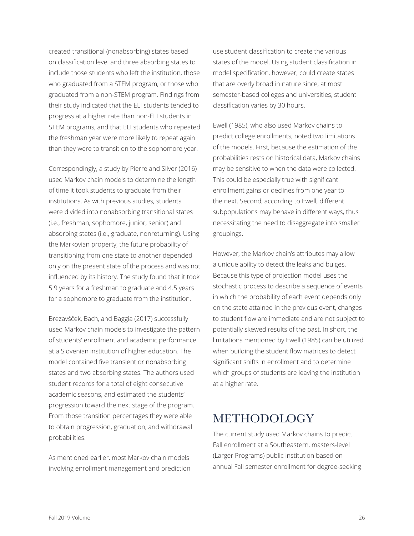created transitional (nonabsorbing) states based on classification level and three absorbing states to include those students who left the institution, those who graduated from a STEM program, or those who graduated from a non-STEM program. Findings from their study indicated that the ELI students tended to progress at a higher rate than non-ELI students in STEM programs, and that ELI students who repeated the freshman year were more likely to repeat again than they were to transition to the sophomore year.

Correspondingly, a study by Pierre and Silver (2016) used Markov chain models to determine the length of time it took students to graduate from their institutions. As with previous studies, students were divided into nonabsorbing transitional states (i.e., freshman, sophomore, junior, senior) and absorbing states (i.e., graduate, nonreturning). Using the Markovian property, the future probability of transitioning from one state to another depended only on the present state of the process and was not influenced by its history. The study found that it took 5.9 years for a freshman to graduate and 4.5 years for a sophomore to graduate from the institution.

Brezavšček, Bach, and Baggia (2017) successfully used Markov chain models to investigate the pattern of students' enrollment and academic performance at a Slovenian institution of higher education. The model contained five transient or nonabsorbing states and two absorbing states. The authors used student records for a total of eight consecutive academic seasons, and estimated the students' progression toward the next stage of the program. From those transition percentages they were able to obtain progression, graduation, and withdrawal probabilities.

As mentioned earlier, most Markov chain models involving enrollment management and prediction use student classification to create the various states of the model. Using student classification in model specification, however, could create states that are overly broad in nature since, at most semester-based colleges and universities, student classification varies by 30 hours.

Ewell (1985), who also used Markov chains to predict college enrollments, noted two limitations of the models. First, because the estimation of the probabilities rests on historical data, Markov chains may be sensitive to when the data were collected. This could be especially true with significant enrollment gains or declines from one year to the next. Second, according to Ewell, different subpopulations may behave in different ways, thus necessitating the need to disaggregate into smaller groupings.

However, the Markov chain's attributes may allow a unique ability to detect the leaks and bulges. Because this type of projection model uses the stochastic process to describe a sequence of events in which the probability of each event depends only on the state attained in the previous event, changes to student flow are immediate and are not subject to potentially skewed results of the past. In short, the limitations mentioned by Ewell (1985) can be utilized when building the student flow matrices to detect significant shifts in enrollment and to determine which groups of students are leaving the institution at a higher rate.

# **METHODOLOGY**

The current study used Markov chains to predict Fall enrollment at a Southeastern, masters-level (Larger Programs) public institution based on annual Fall semester enrollment for degree-seeking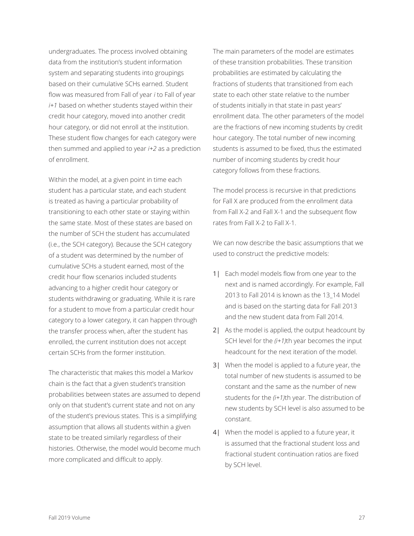undergraduates. The process involved obtaining data from the institution's student information system and separating students into groupings based on their cumulative SCHs earned. Student flow was measured from Fall of year *i* to Fall of year *i+1* based on whether students stayed within their credit hour category, moved into another credit hour category, or did not enroll at the institution. These student flow changes for each category were then summed and applied to year *i+2* as a prediction of enrollment.

Within the model, at a given point in time each student has a particular state, and each student is treated as having a particular probability of transitioning to each other state or staying within the same state. Most of these states are based on the number of SCH the student has accumulated (i.e., the SCH category). Because the SCH category of a student was determined by the number of cumulative SCHs a student earned, most of the credit hour flow scenarios included students advancing to a higher credit hour category or students withdrawing or graduating. While it is rare for a student to move from a particular credit hour category to a lower category, it can happen through the transfer process when, after the student has enrolled, the current institution does not accept certain SCHs from the former institution.

The characteristic that makes this model a Markov chain is the fact that a given student's transition probabilities between states are assumed to depend only on that student's current state and not on any of the student's previous states. This is a simplifying assumption that allows all students within a given state to be treated similarly regardless of their histories. Otherwise, the model would become much more complicated and difficult to apply.

The main parameters of the model are estimates of these transition probabilities. These transition probabilities are estimated by calculating the fractions of students that transitioned from each state to each other state relative to the number of students initially in that state in past years' enrollment data. The other parameters of the model are the fractions of new incoming students by credit hour category. The total number of new incoming students is assumed to be fixed, thus the estimated number of incoming students by credit hour category follows from these fractions.

The model process is recursive in that predictions for Fall X are produced from the enrollment data from Fall X-2 and Fall X-1 and the subsequent flow rates from Fall X-2 to Fall X-1.

We can now describe the basic assumptions that we used to construct the predictive models:

- 1| Each model models flow from one year to the next and is named accordingly. For example, Fall 2013 to Fall 2014 is known as the 13\_14 Model and is based on the starting data for Fall 2013 and the new student data from Fall 2014.
- 2| As the model is applied, the output headcount by SCH level for the *(i+1)*th year becomes the input headcount for the next iteration of the model.
- 3| When the model is applied to a future year, the total number of new students is assumed to be constant and the same as the number of new students for the *(i+1)*th year. The distribution of new students by SCH level is also assumed to be constant.
- 4| When the model is applied to a future year, it is assumed that the fractional student loss and fractional student continuation ratios are fixed by SCH level.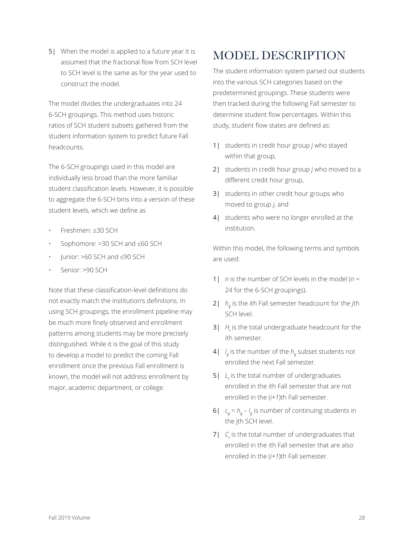5| When the model is applied to a future year it is assumed that the fractional flow from SCH level to SCH level is the same as for the year used to construct the model.

The model divides the undergraduates into 24 6-SCH groupings. This method uses historic ratios of SCH student subsets gathered from the student information system to predict future Fall headcounts.

The 6-SCH groupings used in this model are individually less broad than the more familiar student classification levels. However, it is possible to aggregate the 6-SCH bins into a version of these student levels, which we define as

- Freshmen: ≤30 SCH
- Sophomore: >30 SCH and ≤60 SCH
- Junior: >60 SCH and ≤90 SCH
- Senior: >90 SCH

Note that these classification-level definitions do not exactly match the institution's definitions. In using SCH groupings, the enrollment pipeline may be much more finely observed and enrollment patterns among students may be more precisely distinguished. While it is the goal of this study to develop a model to predict the coming Fall enrollment once the previous Fall enrollment is known, the model will not address enrollment by major, academic department, or college.

# MODEL DESCRIPTION

The student information system parsed out students into the various SCH categories based on the predetermined groupings. These students were then tracked during the following Fall semester to determine student flow percentages. Within this study, student flow states are defined as:

- 1| students in credit hour group *j* who stayed within that group,
- 2| students in credit hour group *j* who moved to a different credit hour group,
- 3| students in other credit hour groups who moved to group *j*, and
- 4| students who were no longer enrolled at the institution.

Within this model, the following terms and symbols are used:

- 1| *n* is the number of SCH levels in the model (*n* = 24 for the 6-SCH groupings).
- 2| *hij* is the *i*th Fall semester headcount for the *j*th SCH level.
- 3| *H<sup>i</sup>* is the total undergraduate headcount for the *i*th semester.
- 4| *l ij* is the number of the *hij* subset students not enrolled the next Fall semester.
- 5| *L<sup>i</sup>* is the total number of undergraduates enrolled in the *i*th Fall semester that are not enrolled in the (*i+1*)th Fall semester.
- 6|  $c_{ij} = h_{ij} l_{ij}$  is number of continuing students in the jth SCH level.
- 7| *C<sup>i</sup>* is the total number of undergraduates that enrolled in the *i*th Fall semester that are also enrolled in the (*i+1*)th Fall semester.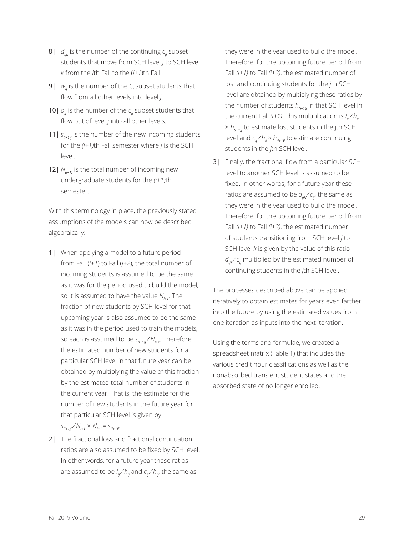- 8|  $d_{ijk}$  is the number of the continuing  $c_{ij}$  subset students that move from SCH level *j* to SCH level *k* from the *i*th Fall to the (*i+1*)th Fall.
- 9| *wij* is the number of the *C<sup>i</sup>* subset students that flow from all other levels into level *j*.
- 10 |  $o_i$  is the number of the  $c_i$  subset students that flow out of level *j* into all other levels.
- 11 |  $s_{(i+1)j}$  is the number of the new incoming students for the *(i+1)*th Fall semester where *j* is the SCH level.
- 12 |  $N_{(i+1)}$  is the total number of incoming new undergraduate students for the *(i+1)*th semester.

With this terminology in place, the previously stated assumptions of the models can now be described algebraically:

- 1| When applying a model to a future period from Fall (*i+1*) to Fall (*i+2*), the total number of incoming students is assumed to be the same as it was for the period used to build the model, so it is assumed to have the value  $N_{i+1}$ . The fraction of new students by SCH level for that upcoming year is also assumed to be the same as it was in the period used to train the models, so each is assumed to be *s(i+1)j ⁄ Ni+1*. Therefore, the estimated number of new students for a particular SCH level in that future year can be obtained by multiplying the value of this fraction by the estimated total number of students in the current year. That is, the estimate for the number of new students in the future year for that particular SCH level is given by  $S_{(i+1)j} / N_{i+1} \times N_{i+1} = S_{(i+1)j}$ .
- 2| The fractional loss and fractional continuation ratios are also assumed to be fixed by SCH level. In other words, for a future year these ratios are assumed to be *l ij ⁄ hij* and *cij ⁄ hij*, the same as

they were in the year used to build the model. Therefore, for the upcoming future period from Fall *(i+1)* to Fall *(i+2)*, the estimated number of lost and continuing students for the *j*th SCH level are obtained by multiplying these ratios by the number of students  $h_{(i+1)j}$  in that SCH level in the current Fall *(i+1)*. This multiplication is *l ij ⁄ hij*   $\times h_{i+1}$  to estimate lost students in the jth SCH level and *cij ⁄ hij* × *h(i+1)j* to estimate continuing students in the *j*th SCH level.

3| Finally, the fractional flow from a particular SCH level to another SCH level is assumed to be fixed. In other words, for a future year these ratios are assumed to be  $d_{ijk}/c_{ij}$ , the same as they were in the year used to build the model. Therefore, for the upcoming future period from Fall *(i+1)* to Fall *(i+2)*, the estimated number of students transitioning from SCH level *j* to SCH level *k* is given by the value of this ratio *d*<sub>iik</sub>∕ *c*<sub>ij</sub> multiplied by the estimated number of continuing students in the *j*th SCH level.

The processes described above can be applied iteratively to obtain estimates for years even farther into the future by using the estimated values from one iteration as inputs into the next iteration.

Using the terms and formulae, we created a spreadsheet matrix (Table 1) that includes the various credit hour classifications as well as the nonabsorbed transient student states and the absorbed state of no longer enrolled.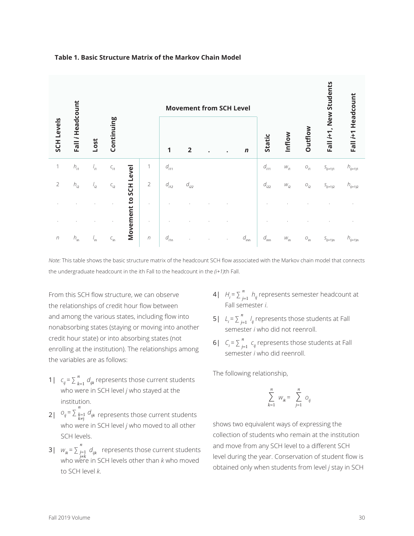

### **Table 1. Basic Structure Matrix of the Markov Chain Model**

*Note:* This table shows the basic structure matrix of the headcount SCH flow associated with the Markov chain model that connects the undergraduate headcount in the ith Fall to the headcount in the *(i+1)*th Fall.

From this SCH flow structure, we can observe the relationships of credit hour flow between and among the various states, including flow into nonabsorbing states (staying or moving into another credit hour state) or into absorbing states (not enrolling at the institution). The relationships among the variables are as follows:

- 1|  $c_{ij} = \sum_{k=1}^{n} d_{ijk}$  represents those current students who were in SCH level *j* who stayed at the institution.
- 2|  $O_{ij} = \sum_{k=1}^{n}$ *k*=1 *k*≠j *dijk* represents those current students who were in SCH level *j* who moved to all other SCH levels.
- 3|  $W_{ik} = \sum_{j=1}^{n}$ *j*=1 *d*<sub>*ijk*</sub> represents those current students who were in SCH levels other than *k* who moved to SCH level *k*.
- 4|  $H_i = \sum_{j=1}^n h_{ij}$  represents semester headcount at Fall semester *i*.
- 5|  $L_i = \sum_{j=1}^n l_{ij}$  represents those students at Fall semester *i* who did not reenroll.
- 6|  $C_i = \sum_{j=1}^n c_{ij}$  represents those students at Fall semester *i* who did reenroll.

The following relationship,

$$
\sum_{k=1}^{n} w_{ik} = \sum_{j=1}^{n} O_{ij}
$$

shows two equivalent ways of expressing the collection of students who remain at the institution and move from any SCH level to a different SCH level during the year. Conservation of student flow is obtained only when students from level *j* stay in SCH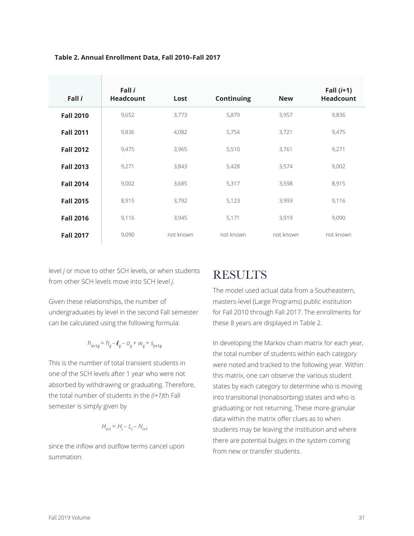| Fall i           | Fall i<br><b>Headcount</b> | Lost      | <b>Continuing</b> | <b>New</b> | Fall $(i+1)$<br><b>Headcount</b> |
|------------------|----------------------------|-----------|-------------------|------------|----------------------------------|
| <b>Fall 2010</b> | 9,652                      | 3,773     | 5,879             | 3,957      | 9,836                            |
| <b>Fall 2011</b> | 9,836                      | 4,082     | 5,754             | 3,721      | 9,475                            |
| <b>Fall 2012</b> | 9,475                      | 3,965     | 5,510             | 3,761      | 9,271                            |
| <b>Fall 2013</b> | 9,271                      | 3,843     | 5,428             | 3,574      | 9,002                            |
| <b>Fall 2014</b> | 9,002                      | 3,685     | 5,317             | 3,598      | 8,915                            |
| <b>Fall 2015</b> | 8,915                      | 3,792     | 5,123             | 3,993      | 9,116                            |
| <b>Fall 2016</b> | 9,116                      | 3,945     | 5,171             | 3,919      | 9,090                            |
| <b>Fall 2017</b> | 9,090                      | not known | not known         | not known  | not known                        |

### **Table 2. Annual Enrollment Data, Fall 2010–Fall 2017**

level *j* or move to other SCH levels, or when students from other SCH levels move into SCH level *j*.

# RESULTS

The model used actual data from a Southeastern, masters-level (Large Programs) public institution for Fall 2010 through Fall 2017. The enrollments for these 8 years are displayed in Table 2.

In developing the Markov chain matrix for each year, the total number of students within each category were noted and tracked to the following year. Within this matrix, one can observe the various student states by each category to determine who is moving into transitional (nonabsorbing) states and who is graduating or not returning. These more-granular data within the matrix offer clues as to when students may be leaving the institution and where there are potential bulges in the system coming from new or transfer students.

undergraduates by level in the second Fall semester can be calculated using the following formula:

Given these relationships, the number of

$$
h_{(i+1)j} = h_{ij} - \ell_{ij} - O_{ij} + W_{ij} + S_{(i+1)j}
$$

This is the number of total transient students in one of the SCH levels after 1 year who were not absorbed by withdrawing or graduating. Therefore, the total number of students in the *(i+1)*th Fall semester is simply given by

$$
H_{i+1} = H_i - L_i - N_{i+1}
$$

since the inflow and outflow terms cancel upon summation.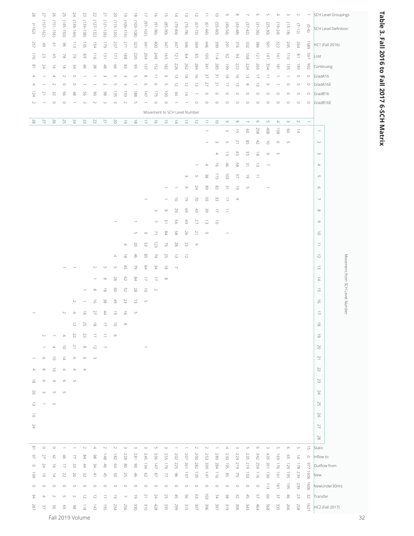| $^{82}$             | 77                       | 92                   | 52                   | ÞZ                         | 23                  | 22                       | $\overline{\phantom{a}}$  | $\sim$                            | $\circ$                               | $\overline{\infty}$       | 득                        | $\overline{\circ}$                           | ū                                     | $\frac{1}{4}$                   | $\overline{\omega}$                   | $\overline{\sim}$               | Ξ                        | ᇹ                        | $\circ$              | $\infty$                  | ∼                      | $\sigma$              | <b>Un</b>          | $\overline{\phantom{a}}$                           | $\omega$                                    | $\sim$                           | $\overline{\phantom{a}}$                       | SCH Level Groupings                       |
|---------------------|--------------------------|----------------------|----------------------|----------------------------|---------------------|--------------------------|---------------------------|-----------------------------------|---------------------------------------|---------------------------|--------------------------|----------------------------------------------|---------------------------------------|---------------------------------|---------------------------------------|---------------------------------|--------------------------|--------------------------|----------------------|---------------------------|------------------------|-----------------------|--------------------|----------------------------------------------------|---------------------------------------------|----------------------------------|------------------------------------------------|-------------------------------------------|
| $(2162)$            | $(157 - 162)$            | $(151 - 156)$        | $(145 - 150)$        | $(139 - 144)$              | $(133 - 138)$       | $(127 - 132)$            | $(121 - 126)$             | $(115 - 120)$                     | $(109 - 114)$                         | $(103 - 108)$             | $(97 - 102)$             | $(96 - 16)$                                  | $(06 - 58)$                           | $(79 - 84)$                     | $(73 - 78)$                           | $(67 - 72)$                     | $(61 - 66)$              | $(55 - 60)$              | $(49 - 64)$          | $(43-48)$                 | $(37-42)$              | $(31 - 36)$           | $(25 - 30)$        | $(19 - 24)$                                        | $(13 - 18)$                                 | $(7\text{--}12)$                 | $(9 - 0)$                                      | <b>SCH Level Definition</b>               |
|                     |                          |                      |                      |                            |                     |                          |                           |                                   |                                       |                           |                          |                                              |                                       |                                 |                                       |                                 |                          |                          |                      |                           |                        |                       |                    |                                                    |                                             |                                  |                                                |                                           |
| 257                 | $\frac{4}{5}$            | $\overline{\omega}$  | 96                   | $\frac{1}{3}$              | 135                 | $\overline{51}$          | $6L$ l                    | 237                               | 271                                   | 323                       | 341                      | $400$                                        | 347                                   | 347                             | 346                                   | 369                             | 446                      | 399                      | 291                  | 316                       | 332                    | 386                   | <b>PO1</b>         | 322                                                | 245                                         | 264                              | 685                                            | HC1 (Fall 2016)                           |
| $\gtrsim$           | 52                       | $\frac{4}{5}$        | 29                   | 9                          | 89                  | 911                      | $\overline{\Xi}$          | $L\bar{L}$                        | $88\,$                                | 230                       | 204                      | 248                                          | $\overrightarrow{591}$                | $\overline{\phantom{a}}$        | $\approx$                             | SS                              | $\overline{\rm S}$       | 114                      | 82                   | 94                        | $\frac{1}{8}$          | $\overline{2}$        | $747\,$            | $\frac{1}{2}$                                      | $\frac{1}{2}$                               | $\overline{\phantom{a}}^{\circ}$ | <b>165</b>                                     | Lost                                      |
| $\approx$           | ÞΖ                       | $\vec{5}$            | $\vec{\infty}$       | 34                         | $rac{4}{5}$         | 38                       | $48\,$                    | 99                                | $\frac{8}{3}$                         | 93                        | $\sqrt{\epsilon}$ l      | $\overline{\rm c}$                           | $\overline{\text{28}}$                | 226                             | 262                                   | 284                             | 341                      | <b>285</b>               | 661                  | 222                       | 224                    | 565                   | 354                | $\overset{\rightharpoonup }{\underline{\otimes }}$ | 135                                         | $\overrightarrow{\text{CS}}$     | 292                                            | Continuing                                |
| $\Rightarrow$       | $\overline{\phantom{a}}$ | $\rightarrow$        | $\sim$               | $\circ$                    | $\rightarrow$       | $\overline{\phantom{a}}$ | $\omega$                  | U                                 | $\omega$                              | U1                        | $\infty$                 | $\overset{\rightharpoonup}{\rightharpoonup}$ | $\circ$                               | $\vec{\omega}$                  | $\overset{\rightharpoonup }{\infty }$ | $\vec{\circ}$                   | 37                       | $\approx$                | $\vec{\circ}$        | $\vec{\sigma}$            | $\vec{\omega}$         | 4                     | $\vec{=}$          | $\overline{\phantom{a}}$                           | $\rightarrow$                               | $\circ$                          | $\circ$                                        | GradA16                                   |
| $\rightarrow$       | $\supseteq$              | $\sim$               | $\circ$              | $\circ$                    |                     |                          | $\sim$                    | U                                 | $\omega$                              | $\rightarrow$             | G                        | $\circlearrowleft$                           | U                                     | 12                              | $\vec{v}$                             | $\vec{\omega}$<br>$\rightarrow$ | 27<br>$\circ$            | 21<br>$\circ$            | 号<br>$\circ$         | $\vec{\omega}$<br>$\circ$ | $_{\infty}$<br>$\circ$ | $\omega$<br>$\circ$   | $\circ$<br>$\circ$ | $\circ$                                            | $\circ$<br>$\circ$                          | $\circ$<br>$\circ$               | $\circ$                                        | GradA16E                                  |
| bZ<br>$\sim$        | $\rightarrow$            | 32<br>$\circ$        | 99<br>$\circ$        | $\frac{4}{5}$              | 95<br>$\omega$      | S<br>$\sim$              | $86$<br>$\omega$          | $\overrightarrow{35}$<br>$\omega$ | $\overline{59}$<br>$\sim$             | 88<br>U1                  | $747\,$<br>$\rightarrow$ | 521<br>$\circ$                               | $\overline{5}$<br>$\circ$             | 54<br>÷                         | $\overrightarrow{p}$                  | $\circ$                         | $\circ$                  | $\circ$                  | $\circ$              | $\circ$                   | $\circ$                | $\circ$               | $\circ$            | $\circ$                                            | $\circ$                                     | $\circ$                          | $\circ$<br>$\circ$                             | GradB16<br>GradB16E                       |
|                     |                          |                      |                      |                            |                     |                          |                           |                                   |                                       |                           |                          |                                              | Movement to SCH Level Number          |                                 |                                       |                                 |                          |                          |                      |                           |                        |                       |                    |                                                    |                                             |                                  |                                                |                                           |
| 28                  | 27                       | $\Im$                | 52                   | $\, \triangleright\! \! 7$ | 23                  | 22                       | $\gtrsim$                 | $\approx$                         | $\vec{\circ}$                         | $\overrightarrow{\infty}$ | L)                       | $\vec{\sigma}$                               | 긁                                     | $\overrightarrow{p}$            | $\vec{\omega}$                        | $\vec{v}$                       | ⇉                        | $\vec{\circ}$            | $\circ$              | $\infty$                  | $\smallsetminus$       | $\circlearrowleft$    | $\cup$             | $\Rightarrow$                                      | $\omega$                                    | $\sim$                           | $\overline{\phantom{a}}$                       |                                           |
|                     |                          |                      |                      |                            |                     |                          |                           |                                   |                                       |                           |                          |                                              |                                       |                                 |                                       |                                 | $\overline{\phantom{a}}$ |                          | $\omega$             | 긁                         | 8                      | 258                   | $408\,$            | 89                                                 | 8                                           | $\overrightarrow{\mathbb{D}}$    |                                                | $\overline{\phantom{a}}$                  |
|                     |                          |                      |                      |                            |                     |                          |                           |                                   |                                       |                           |                          |                                              |                                       |                                 |                                       |                                 | $\rightarrow$            | $\omega$                 | U                    | $\geq$                    | $\frac{8}{2}$          | $42$                  | $\vec{o}$          | $\circlearrowright$                                | S                                           |                                  |                                                | $\sim$                                    |
|                     |                          |                      |                      |                            |                     |                          |                           |                                   |                                       |                           |                          |                                              |                                       |                                 |                                       |                                 |                          | $\rightarrow$            | $\vec{\omega}$       | 45                        | 35                     | $\overline{\infty}$   | $\circ$            | C                                                  |                                             |                                  |                                                | $\omega$                                  |
|                     |                          |                      |                      |                            |                     |                          |                           |                                   |                                       |                           |                          |                                              |                                       |                                 |                                       | $\rightarrow$                   | $\Rightarrow$            | ਨੋ                       | 46                   | 89                        | $\approx$              | $\vec{\omega}$        | $\sim$             |                                                    |                                             |                                  |                                                | $\rightarrow$                             |
|                     |                          |                      |                      |                            |                     |                          |                           |                                   |                                       |                           |                          |                                              |                                       |                                 | $\omega$                              | $\cup$                          | 38                       | $\frac{1}{2}$            | ā                    | S7                        | $\vec{\circ}$          | Ξ                     |                    |                                                    |                                             |                                  |                                                | U1                                        |
|                     |                          |                      |                      |                            |                     |                          |                           |                                   |                                       |                           |                          |                                              |                                       | ÷                               |                                       |                                 |                          |                          | $\approx$            |                           |                        |                       |                    |                                                    |                                             |                                  |                                                |                                           |
|                     |                          |                      |                      |                            |                     |                          |                           |                                   |                                       |                           |                          |                                              |                                       |                                 | $\circlearrowright$                   | 24                              | 68                       | $^{82}$                  |                      | $\vec{\circ}$             | U1                     |                       |                    |                                                    |                                             |                                  |                                                | $\circlearrowright$                       |
|                     |                          |                      |                      |                            |                     |                          |                           |                                   |                                       |                           |                          |                                              |                                       | $\vec{\circ}$                   | $\vec{\circ}$                         | 5                               | S9                       | 33                       | 号                    | $\circ$                   |                        |                       |                    |                                                    |                                             |                                  |                                                | $\sim$                                    |
|                     |                          |                      |                      |                            |                     |                          |                           |                                   |                                       |                           |                          | $\omega$                                     | $\infty$                              | 29                              | 69                                    | 43                              | 39                       | 득                        | $\vec{=}$            |                           |                        |                       |                    |                                                    |                                             |                                  |                                                | $\infty$                                  |
|                     |                          |                      |                      |                            |                     |                          |                           |                                   |                                       | -                         |                          | $\overline{\phantom{0}}$                     | $\stackrel{\omega}{=}$                | 95                              | 49                                    | 27                              | ಪ                        | $\vec{0}$                |                      |                           |                        |                       |                    |                                                    |                                             |                                  |                                                | $\circlearrowright$                       |
|                     |                          |                      |                      |                            |                     |                          |                           |                                   |                                       | U1                        | $\circ$                  | 7                                            | B4                                    | 89                              | 26                                    | 2                               | $\circ$                  |                          |                      |                           |                        |                       |                    |                                                    |                                             |                                  |                                                | ੋ                                         |
|                     |                          |                      |                      |                            |                     |                          |                           |                                   | $\rightarrow$                         | SO                        | SS                       | 123                                          | 2                                     | $^{82}$                         | 23                                    | $\circ$                         |                          |                          |                      |                           |                        |                       |                    |                                                    |                                             |                                  |                                                | $\overrightarrow{\square}$                |
|                     |                          |                      |                      |                            |                     |                          |                           | $\Rightarrow$                     | $\overset{\rightharpoonup }{\infty }$ | 46                        | $^{08}$                  | $\mathcal{O}$                                | 25                                    | $\vec{\omega}$                  | $\overline{C}$                        |                                 |                          |                          |                      |                           |                        |                       |                    |                                                    |                                             |                                  |                                                | $\sim$                                    |
|                     |                          |                      |                      |                            |                     | $\sim$                   | C                         | U1                                | $45\,$                                | 2                         | $^{64}$                  | 34                                           | $\overset{\rightharpoonup }{\infty }$ | $\overline{\phantom{a}}$        |                                       |                                 |                          |                          |                      |                           |                        |                       |                    |                                                    |                                             |                                  |                                                | Movement from SCH Level Numbe<br>$\omega$ |
|                     |                          |                      |                      |                            |                     | $\rightarrow$            | $_{\infty}$               | 28                                | 19                                    | 84                        | ミ                        | ミ                                            | $\infty$                              |                                 |                                       |                                 |                          |                          |                      |                           |                        |                       |                    |                                                    |                                             |                                  |                                                | $\frac{1}{4}$                             |
|                     |                          |                      |                      |                            |                     | $\infty$                 | $\vec{\infty}$            | 8                                 | S2                                    | 28                        | $\vec{o}$                | $\sim$                                       |                                       |                                 |                                       |                                 |                          |                          |                      |                           |                        |                       |                    |                                                    |                                             |                                  |                                                | ਯ                                         |
|                     |                          |                      |                      |                            |                     |                          |                           |                                   |                                       |                           |                          |                                              |                                       |                                 |                                       |                                 |                          |                          |                      |                           |                        |                       |                    |                                                    |                                             |                                  |                                                |                                           |
|                     |                          |                      |                      | $\sim$                     |                     | $\vec{a}$                | 38                        | 49                                | 23                                    | $\vec{\omega}$            | U1                       |                                              |                                       |                                 |                                       |                                 |                          |                          |                      |                           |                        |                       |                    |                                                    |                                             |                                  |                                                | $\vec{\sigma}$                            |
|                     |                          |                      |                      |                            |                     | 27                       | $44$                      | $\vec{5}$                         | $\overrightarrow{\Theta}$             | $\cup$                    |                          |                                              |                                       |                                 |                                       |                                 |                          |                          |                      |                           |                        |                       |                    |                                                    |                                             |                                  |                                                | $\overrightarrow{\Box}$                   |
|                     |                          |                      |                      | $\vec{v}$                  | 52                  | $\vec{\infty}$           | $\overline{\Box}$         | $\vec{\circ}$                     | $\infty$                              |                           |                          |                                              |                                       |                                 |                                       |                                 |                          |                          |                      |                           |                        |                       |                    |                                                    |                                             |                                  |                                                | $\infty$                                  |
|                     | $\sim$                   |                      | $\Rightarrow$        | 22                         | 23                  | ⇉                        | ₿                         | $\circlearrowright$               |                                       |                           |                          |                                              |                                       |                                 |                                       |                                 |                          |                          |                      |                           |                        |                       |                    |                                                    |                                             |                                  |                                                | 6                                         |
|                     |                          | ₽                    | $\vec{o}$            | $\overline{z}$             | $\infty$            | $\vec{c}$                | $\overline{\phantom{a}}$  |                                   |                                       |                           |                          |                                              |                                       |                                 |                                       |                                 |                          |                          |                      |                           |                        |                       |                    |                                                    |                                             |                                  |                                                | $\gtrsim$                                 |
|                     | G                        | ਡ                    | $\overrightarrow{p}$ | 9                          | $\circlearrowright$ | $\omega$                 |                           |                                   |                                       |                           |                          |                                              |                                       |                                 |                                       |                                 |                          |                          |                      |                           |                        |                       |                    |                                                    |                                             |                                  |                                                | $\overline{\phantom{a}}$                  |
| $\rightarrow$       | $_{\infty}$              | $\vec{0}$            | $\rightarrow$        | $\rightarrow$              | $\Rightarrow$       |                          |                           |                                   |                                       |                           |                          |                                              |                                       |                                 |                                       |                                 |                          |                          |                      |                           |                        |                       |                    |                                                    |                                             |                                  |                                                | 22                                        |
| $\infty$            | G                        | $\circ$              | $\circlearrowright$  | UΠ                         |                     |                          |                           |                                   |                                       |                           |                          |                                              |                                       |                                 |                                       |                                 |                          |                          |                      |                           |                        |                       |                    |                                                    |                                             |                                  |                                                | 23                                        |
| 5O                  | ω                        | U1                   | C                    |                            |                     |                          |                           |                                   |                                       |                           |                          |                                              |                                       |                                 |                                       |                                 |                          |                          |                      |                           |                        |                       |                    |                                                    |                                             |                                  |                                                | ÞΖ                                        |
| $\vec{\omega}$      | $\rightarrow$            | $\omega$             |                      |                            |                     |                          |                           |                                   |                                       |                           |                          |                                              |                                       |                                 |                                       |                                 |                          |                          |                      |                           |                        |                       |                    |                                                    |                                             |                                  |                                                | 52                                        |
| ਨੋ                  |                          |                      |                      |                            |                     |                          |                           |                                   |                                       |                           |                          |                                              |                                       |                                 |                                       |                                 |                          |                          |                      |                           |                        |                       |                    |                                                    |                                             |                                  |                                                | 26                                        |
|                     |                          |                      |                      |                            |                     |                          |                           |                                   |                                       |                           |                          |                                              |                                       |                                 |                                       |                                 |                          |                          |                      |                           |                        |                       |                    |                                                    |                                             |                                  |                                                |                                           |
| PZ                  |                          |                      |                      |                            |                     |                          |                           |                                   |                                       |                           |                          |                                              |                                       |                                 |                                       |                                 |                          |                          |                      |                           |                        |                       |                    |                                                    |                                             |                                  |                                                | 27                                        |
|                     |                          |                      |                      |                            |                     |                          |                           |                                   |                                       |                           |                          |                                              |                                       |                                 | $\overline{\phantom{a}}$              |                                 |                          | $\overline{\phantom{a}}$ |                      |                           |                        |                       |                    |                                                    |                                             |                                  |                                                | $\geq 8$                                  |
| $\approx$<br>$^{2}$ | $\circ$<br>77            | $\circ$<br>42        | 46                   | 77                         | $\sim$<br>$^{56}$   | $\Rightarrow$<br>86      | $\sim$<br>$\frac{148}{1}$ | $\sim$<br>$\overline{c}$          | $\omega$<br>228                       | $\omega$<br>187           | $\omega$<br>245          | $\cup$<br>336                                | $\omega$<br><b>255</b>                | $\overline{\phantom{a}}$<br>202 | 207                                   | $\sim$<br>500                   | $\sim$<br>253            | 280                      | $\Rightarrow$<br>230 | $\omega$<br>224           | U1<br>235              | $\mathbb{O}^n$<br>342 | $\omega$<br>435    | U1<br>$\overline{69}$                              | $\circlearrowleft$<br>$\mathcal{G}^{\circ}$ | $\cup$<br>$\overrightarrow{p}$   | $\stackrel{\rightharpoonup}{\circ}$<br>$\circ$ | Static<br>Inflow to                       |
| $\circ$             | ÞZ                       | $\vec{\sigma}$       | 급                    | 33                         | #                   | ΡE                       | $\frac{4}{5}$             | B4                                | $\stackrel{\circ}{\circ}$             | S                         | <b>PEI</b>               | $\sqrt{47}$                                  | $621$                                 | <b>225</b>                      | 261                                   | <b>282</b>                      | 339                      | 284                      | 561                  | $219$                     | $612$                  | 559                   | 351                | 921                                                | 671                                         | $8\angle 1$                      | 1/6                                            | Outflow from                              |
| 50                  | $\vec{o}$                | $\overrightarrow{p}$ | 22                   | S                          | 32                  | $\overline{z}$           | $\frac{4}{10}$            | SO                                | 52                                    | $\frac{4}{5}$             | $\mathcal{L}^{\circ}$    | $\sqrt{8}$                                   | 77                                    | 96                              | $\overline{\phantom{0}}$              | $\vec{5}$                       | $\overrightarrow{P}$     | 911                      | GO                   | $\mathcal{Q}$             | 103                    | $\frac{1}{2}$         | $\Xi$              | $\overline{\mathfrak{S}}$                          | $\overrightarrow{56}$                       | 239                              | 1606                                           | New                                       |
| $\circ$             | $\circ$                  | $\circ$              | $\circ$              | $\circ$                    | $\circ$             | $\circ$                  | $\circ$                   | $\circ$                           | $\circ$                               | $\circ$                   | $\circ$                  | $\circ$                                      | $\circ$                               | $\circ$                         | $\circ$                               | $\circ$                         | $\circ$                  | $\circ$                  | $\circ$              | $\circ$                   | $\circ$                | $\circ$               | $\frac{1}{2}$      | $\overrightarrow{91}$                              | $-561$                                      | 239                              | 1606                                           | NewUnder30Hrs                             |
| 34                  | $\Rightarrow$            | $\sim$               | C                    | $\sim$                     | $\overline{c}$      | $\overline{c}$           | 4                         | $\vec{\circ}$                     | $\overline{\phantom{a}}$              | $\vec{\circ}$             | $\geq$                   | 24                                           | 25                                    | $45\,$                          | 99                                    | C9                              | $\Xi$                    | $\boldsymbol{\Sigma}$    | 38                   | 32                        | $45$                   | 57                    | $\odot$            | $\lesssim$                                         | $\frac{4}{5}$                               | 23                               | $z_2$                                          | Transfer                                  |
| $\sqrt{82}$         | $\sqrt{2}$               | 95                   | 8                    | 86                         | $\frac{1}{8}$       | $\pm 43$                 | $-56$                     | 234                               | 952                                   | 330                       | 310                      | $428\,$                                      | 335                                   | 599                             | 315                                   | 307                             | 396                      | 397                      | 319                  | 306                       | 343                    | 464                   | 895                | 335                                                | 266                                         | 258                              | $-21$                                          | HC2 (Fall 2017)                           |
|                     |                          |                      |                      | Fall 2019 Volume           |                     |                          |                           |                                   |                                       |                           |                          |                                              |                                       |                                 |                                       |                                 |                          |                          |                      |                           |                        |                       |                    |                                                    |                                             |                                  |                                                | 32                                        |

# Table 3. Fall 2016 to Fall 2017 6-SCH Matrix **Table 3. Fall 2016 to Fall 2017 6-SCH Matrix**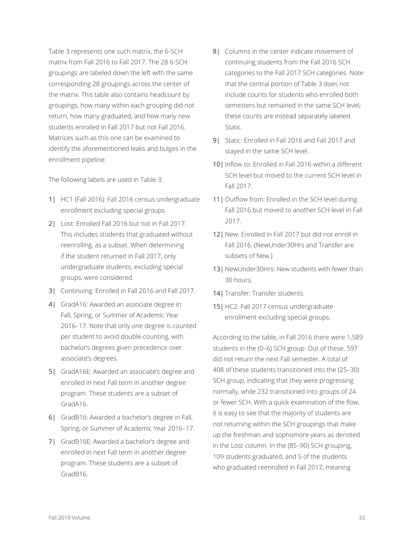Table 3 represents one such matrix, the 6-SCH matrix from Fall 2016 to Fall 2017. The 28 6-SCH groupings are labeled down the left with the same corresponding 28 groupings across the center of the matrix. This table also contains headcount by groupings, how many within each grouping did not return, how many graduated, and how many new students enrolled in Fall 2017 but not Fall 2016. Matrices such as this one can be examined to identify the aforementioned leaks and bulges in the enrollment pipeline.

The following labels are used in Table 3:

- 1| HC1 (Fall 2016): Fall 2016 census undergraduate enrollment excluding special groups.
- 2| Lost: Enrolled Fall 2016 but not in Fall 2017. This includes students that graduated without reenrolling, as a subset. When determining if the student returned in Fall 2017, only undergraduate students, excluding special groups, were considered.
- 3| Continuing: Enrolled in Fall 2016 and Fall 2017.
- 4| GradA16: Awarded an associate degree in Fall, Spring, or Summer of Academic Year 2016–17. Note that only one degree is counted per student to avoid double-counting, with bachelor's degrees given precedence over associate's degrees.
- 5| GradA16E: Awarded an associate's degree and enrolled in next Fall term in another degree program. These students are a subset of GradA16.
- 6| GradB16: Awarded a bachelor's degree in Fall, Spring, or Summer of Academic Year 2016–17.
- 7| GradB16E: Awarded a bachelor's degree and enrolled in next Fall term in another degree program. These students are a subset of GradB16.
- 8| Columns in the center indicate movement of continuing students from the Fall 2016 SCH categories to the Fall 2017 SCH categories. Note that the central portion of Table 3 does not include counts for students who enrolled both semesters but remained in the same SCH level; these counts are instead separately labeled Static.
- 9| Static: Enrolled in Fall 2016 and Fall 2017 and stayed in the same SCH level.
- 10| Inflow to: Enrolled in Fall 2016 within a different SCH level but moved to the current SCH level in Fall 2017.
- 11 | Outflow from: Enrolled in the SCH level during Fall 2016 but moved to another SCH level in Fall 2017.
- 12| New: Enrolled in Fall 2017 but did not enroll in Fall 2016. (NewUnder30Hrs and Transfer are subsets of New.)
- 13| NewUnder30Hrs: New students with fewer than 30 hours.
- 14 | Transfer: Transfer students.
- 15| HC2: Fall 2017 census undergraduate enrollment excluding special groups.

According to the table, in Fall 2016 there were 1,589 students in the (0–6) SCH group. Out of these, 597 did not return the next Fall semester. A total of 408 of these students transitioned into the (25–30) SCH group, indicating that they were progressing normally, while 232 transitioned into groups of 24 or fewer SCH. With a quick examination of the flow, it is easy to see that the majority of students are not returning within the SCH groupings that make up the freshman and sophomore years as denoted in the Lost column. In the (85–90) SCH grouping, 109 students graduated, and 5 of the students who graduated reenrolled in Fall 2017, meaning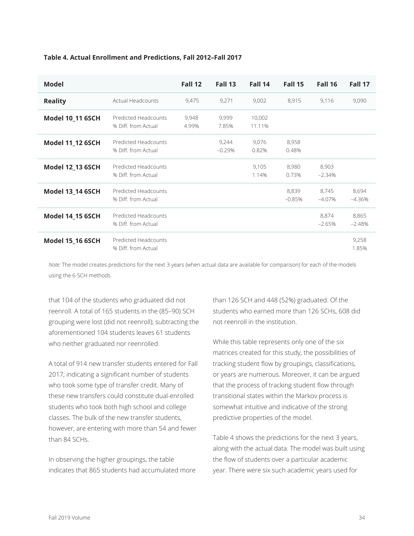| <b>Model</b>            |                                             | Fall 12        | Fall 13           | Fall 14          | Fall 15           | Fall 16           | Fall 17           |
|-------------------------|---------------------------------------------|----------------|-------------------|------------------|-------------------|-------------------|-------------------|
| <b>Reality</b>          | <b>Actual Headcounts</b>                    | 9,475          | 9,271             | 9,002            | 8,915             | 9,116             | 9,090             |
| <b>Model 10_11 6SCH</b> | Predicted Headcounts<br>% Diff. from Actual | 9,948<br>4.99% | 9,999<br>7.85%    | 10,002<br>11.11% |                   |                   |                   |
| <b>Model 11_12 6SCH</b> | Predicted Headcounts<br>% Diff. from Actual |                | 9,244<br>$-0.29%$ | 9,076<br>0.82%   | 8,958<br>0.48%    |                   |                   |
| <b>Model 12_13 6SCH</b> | Predicted Headcounts<br>% Diff. from Actual |                |                   | 9,105<br>1.14%   | 8,980<br>0.73%    | 8,903<br>$-2.34%$ |                   |
| <b>Model 13_14 6SCH</b> | Predicted Headcounts<br>% Diff. from Actual |                |                   |                  | 8,839<br>$-0.85%$ | 8,745<br>$-4.07%$ | 8,694<br>$-4.36%$ |
| <b>Model 14_15 6SCH</b> | Predicted Headcounts<br>% Diff. from Actual |                |                   |                  |                   | 8,874<br>$-2.65%$ | 8,865<br>$-2.48%$ |
| <b>Model 15_16 6SCH</b> | Predicted Headcounts<br>% Diff. from Actual |                |                   |                  |                   |                   | 9,258<br>1.85%    |

### **Table 4. Actual Enrollment and Predictions, Fall 2012–Fall 2017**

*Note:* The model creates predictions for the next 3 years (when actual data are available for comparison) for each of the models using the 6-SCH methods.

that 104 of the students who graduated did not reenroll. A total of 165 students in the (85–90) SCH grouping were lost (did not reenroll); subtracting the aforementioned 104 students leaves 61 students who neither graduated nor reenrolled.

A total of 914 new transfer students entered for Fall 2017, indicating a significant number of students who took some type of transfer credit. Many of these new transfers could constitute dual-enrolled students who took both high school and college classes. The bulk of the new transfer students, however, are entering with more than 54 and fewer than 84 SCHs.

In observing the higher groupings, the table indicates that 865 students had accumulated more than 126 SCH and 448 (52%) graduated. Of the students who earned more than 126 SCHs, 608 did not reenroll in the institution.

While this table represents only one of the six matrices created for this study, the possibilities of tracking student flow by groupings, classifications, or years are numerous. Moreover, it can be argued that the process of tracking student flow through transitional states within the Markov process is somewhat intuitive and indicative of the strong predictive properties of the model.

Table 4 shows the predictions for the next 3 years, along with the actual data. The model was built using the flow of students over a particular academic year. There were six such academic years used for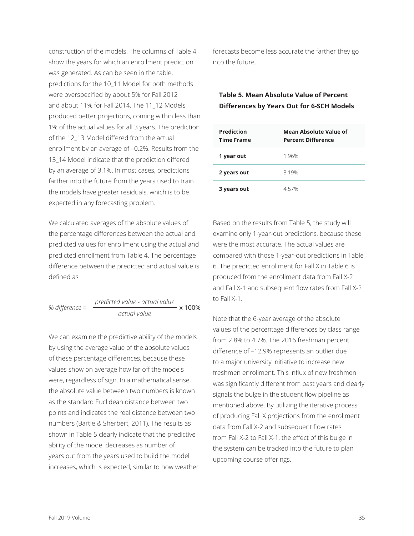construction of the models. The columns of Table 4 show the years for which an enrollment prediction was generated. As can be seen in the table, predictions for the 10\_11 Model for both methods were overspecified by about 5% for Fall 2012 and about 11% for Fall 2014. The 11\_12 Models produced better projections, coming within less than 1% of the actual values for all 3 years. The prediction of the 12\_13 Model differed from the actual enrollment by an average of –0.2%. Results from the 13 14 Model indicate that the prediction differed by an average of 3.1%. In most cases, predictions farther into the future from the years used to train the models have greater residuals, which is to be expected in any forecasting problem.

We calculated averages of the absolute values of the percentage differences between the actual and predicted values for enrollment using the actual and predicted enrollment from Table 4. The percentage difference between the predicted and actual value is defined as

*% difference* = *predicted value - actual value actual value*  $\cdot$  x 100%

We can examine the predictive ability of the models by using the average value of the absolute values of these percentage differences, because these values show on average how far off the models were, regardless of sign. In a mathematical sense, the absolute value between two numbers is known as the standard Euclidean distance between two points and indicates the real distance between two numbers (Bartle & Sherbert, 2011). The results as shown in Table 5 clearly indicate that the predictive ability of the model decreases as number of years out from the years used to build the model increases, which is expected, similar to how weather forecasts become less accurate the farther they go into the future.

### **Table 5. Mean Absolute Value of Percent Differences by Years Out for 6-SCH Models**

| <b>Prediction</b><br><b>Time Frame</b> | Mean Absolute Value of<br><b>Percent Difference</b> |
|----------------------------------------|-----------------------------------------------------|
| 1 year out                             | 1.96%                                               |
| 2 years out                            | 3.19%                                               |
| 3 years out                            | 457%                                                |

Based on the results from Table 5, the study will examine only 1-year-out predictions, because these were the most accurate. The actual values are compared with those 1-year-out predictions in Table 6. The predicted enrollment for Fall X in Table 6 is produced from the enrollment data from Fall X-2 and Fall X-1 and subsequent flow rates from Fall X-2 to Fall X-1.

Note that the 6-year average of the absolute values of the percentage differences by class range from 2.8% to 4.7%. The 2016 freshman percent difference of –12.9% represents an outlier due to a major university initiative to increase new freshmen enrollment. This influx of new freshmen was significantly different from past years and clearly signals the bulge in the student flow pipeline as mentioned above. By utilizing the iterative process of producing Fall X projections from the enrollment data from Fall X-2 and subsequent flow rates from Fall X-2 to Fall X-1, the effect of this bulge in the system can be tracked into the future to plan upcoming course offerings.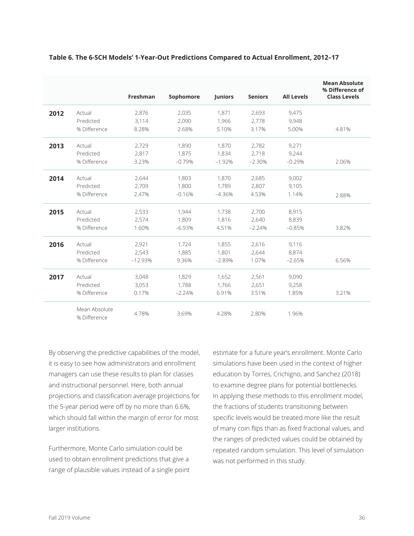|      |                               | <b>Freshman</b> | Sophomore | <b>Juniors</b> | <b>Seniors</b> | <b>All Levels</b> | <b>Mean Absolute</b><br>% Difference of<br><b>Class Levels</b> |
|------|-------------------------------|-----------------|-----------|----------------|----------------|-------------------|----------------------------------------------------------------|
| 2012 | Actual                        | 2,876           | 2,035     | 1,871          | 2,693          | 9,475             |                                                                |
|      | Predicted                     | 3.114           | 2.090     | 1.966          | 2.778          | 9,948             |                                                                |
|      | % Difference                  | 8.28%           | 2.68%     | 5.10%          | 3.17%          | 5.00%             | 4.81%                                                          |
| 2013 | Actual                        | 2,729           | 1,890     | 1,870          | 2,782          | 9,271             |                                                                |
|      | Predicted                     | 2,817           | 1,875     | 1,834          | 2,718          | 9,244             |                                                                |
|      | % Difference                  | 3.23%           | $-0.79%$  | $-1.92%$       | $-2.30%$       | $-0.29%$          | 2.06%                                                          |
| 2014 | Actual                        | 2,644           | 1.803     | 1.870          | 2,685          | 9,002             |                                                                |
|      | Predicted                     | 2,709           | 1,800     | 1,789          | 2,807          | 9,105             |                                                                |
|      | % Difference                  | 2.47%           | $-0.16%$  | $-4.36%$       | 4.53%          | 1.14%             | 2.88%                                                          |
| 2015 | Actual                        | 2,533           | 1,944     | 1,738          | 2,700          | 8,915             |                                                                |
|      | Predicted                     | 2,574           | 1.809     | 1,816          | 2,640          | 8,839             |                                                                |
|      | % Difference                  | 1.60%           | $-6.93%$  | 4.51%          | $-2.24%$       | $-0.85%$          | 3.82%                                                          |
| 2016 | Actual                        | 2,921           | 1,724     | 1,855          | 2,616          | 9,116             |                                                                |
|      | Predicted                     | 2,543           | 1,885     | 1,801          | 2,644          | 8,874             |                                                                |
|      | % Difference                  | $-12.93%$       | 9.36%     | $-2.89%$       | 1.07%          | $-2.65%$          | 6.56%                                                          |
| 2017 | Actual                        | 3,048           | 1,829     | 1,652          | 2,561          | 9,090             |                                                                |
|      | Predicted                     | 3,053           | 1,788     | 1,766          | 2,651          | 9,258             |                                                                |
|      | % Difference                  | 0.17%           | $-2.24%$  | 6.91%          | 3.51%          | 1.85%             | 3.21%                                                          |
|      | Mean Absolute<br>% Difference | 4.78%           | 3.69%     | 4.28%          | 2.80%          | 1.96%             |                                                                |

### **Table 6. The 6-SCH Models' 1-Year-Out Predictions Compared to Actual Enrollment, 2012–17**

By observing the predictive capabilities of the model, it is easy to see how administrators and enrollment managers can use these results to plan for classes and instructional personnel. Here, both annual projections and classification average projections for the 5-year period were off by no more than 6.6%, which should fall within the margin of error for most larger institutions.

Furthermore, Monte Carlo simulation could be used to obtain enrollment predictions that give a range of plausible values instead of a single point estimate for a future year's enrollment. Monte Carlo simulations have been used in the context of higher education by Torres, Crichigno, and Sanchez (2018) to examine degree plans for potential bottlenecks. In applying these methods to this enrollment model, the fractions of students transitioning between specific levels would be treated more like the result of many coin flips than as fixed fractional values, and the ranges of predicted values could be obtained by repeated random simulation. This level of simulation was not performed in this study.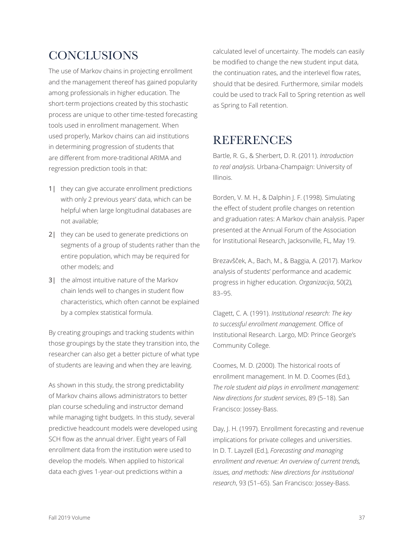# **CONCLUSIONS**

The use of Markov chains in projecting enrollment and the management thereof has gained popularity among professionals in higher education. The short-term projections created by this stochastic process are unique to other time-tested forecasting tools used in enrollment management. When used properly, Markov chains can aid institutions in determining progression of students that are different from more-traditional ARIMA and regression prediction tools in that:

- 1| they can give accurate enrollment predictions with only 2 previous years' data, which can be helpful when large longitudinal databases are not available;
- 2| they can be used to generate predictions on segments of a group of students rather than the entire population, which may be required for other models; and
- 3| the almost intuitive nature of the Markov chain lends well to changes in student flow characteristics, which often cannot be explained by a complex statistical formula.

By creating groupings and tracking students within those groupings by the state they transition into, the researcher can also get a better picture of what type of students are leaving and when they are leaving.

As shown in this study, the strong predictability of Markov chains allows administrators to better plan course scheduling and instructor demand while managing tight budgets. In this study, several predictive headcount models were developed using SCH flow as the annual driver. Eight years of Fall enrollment data from the institution were used to develop the models. When applied to historical data each gives 1-year-out predictions within a

calculated level of uncertainty. The models can easily be modified to change the new student input data, the continuation rates, and the interlevel flow rates, should that be desired. Furthermore, similar models could be used to track Fall to Spring retention as well as Spring to Fall retention.

# **REFERENCES**

Bartle, R. G., & Sherbert, D. R. (2011). *Introduction to real analysis.* Urbana-Champaign: University of Illinois.

Borden, V. M. H., & Dalphin J. F. (1998). Simulating the effect of student profile changes on retention and graduation rates: A Markov chain analysis. Paper presented at the Annual Forum of the Association for Institutional Research, Jacksonville, FL, May 19.

Brezavšček, A., Bach, M., & Baggia, A. (2017). Markov analysis of students' performance and academic progress in higher education. *Organizacija*, 50(2), 83–95.

Clagett, C. A. (1991). *Institutional research: The key to successful enrollment management.* Office of Institutional Research. Largo, MD: Prince George's Community College.

Coomes, M. D. (2000). The historical roots of enrollment management. In M. D. Coomes (Ed.), *The role student aid plays in enrollment management: New directions for student services*, 89 (5–18). San Francisco: Jossey-Bass.

Day, J. H. (1997). Enrollment forecasting and revenue implications for private colleges and universities. In D. T. Layzell (Ed.), *Forecasting and managing enrollment and revenue: An overview of current trends, issues, and methods: New directions for institutional research*, 93 (51–65). San Francisco: Jossey-Bass.